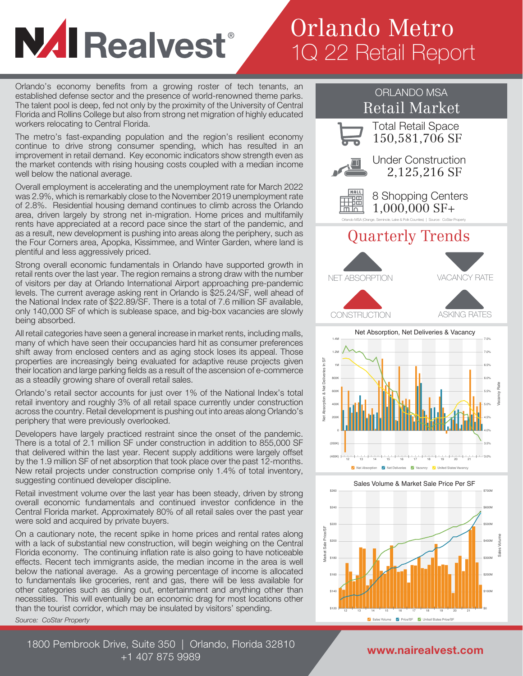# **NAI Realvest**®

### Orlando Metro 1Q 22 Retail Report

Orlando's economy benefits from a growing roster of tech tenants, an established defense sector and the presence of world-renowned theme parks. The talent pool is deep, fed not only by the proximity of the University of Central Florida and Rollins College but also from strong net migration of highly educated workers relocating to Central Florida.

The metro's fast-expanding population and the region's resilient economy continue to drive strong consumer spending, which has resulted in an improvement in retail demand. Key economic indicators show strength even as the market contends with rising housing costs coupled with a median income well below the national average.

Overall employment is accelerating and the unemployment rate for March 2022 was 2.9%, which is remarkably close to the November 2019 unemployment rate of 2.8%. Residential housing demand continues to climb across the Orlando area, driven largely by strong net in-migration. Home prices and multifamily rents have appreciated at a record pace since the start of the pandemic, and as a result, new development is pushing into areas along the periphery, such as the Four Corners area, Apopka, Kissimmee, and Winter Garden, where land is plentiful and less aggressively priced.

Strong overall economic fundamentals in Orlando have supported growth in retail rents over the last year. The region remains a strong draw with the number of visitors per day at Orlando International Airport approaching pre-pandemic levels. The current average asking rent in Orlando is \$25.24/SF, well ahead of the National Index rate of \$22.89/SF. There is a total of 7.6 million SF available, only 140,000 SF of which is sublease space, and big-box vacancies are slowly being absorbed.

All retail categories have seen a general increase in market rents, including malls, many of which have seen their occupancies hard hit as consumer preferences shift away from enclosed centers and as aging stock loses its appeal. Those properties are increasingly being evaluated for adaptive reuse projects given their location and large parking fields as a result of the ascension of e-commerce as a steadily growing share of overall retail sales.

Orlando's retail sector accounts for just over 1% of the National Index's total retail inventory and roughly 3% of all retail space currently under construction across the country. Retail development is pushing out into areas along Orlando's periphery that were previously overlooked.

Developers have largely practiced restraint since the onset of the pandemic. There is a total of 2.1 million SF under construction in addition to 855,000 SF that delivered within the last year. Recent supply additions were largely offset by the 1.9 million SF of net absorption that took place over the past 12-months. New retail projects under construction comprise only 1.4% of total inventory, suggesting continued developer discipline.

Retail investment volume over the last year has been steady, driven by strong overall economic fundamentals and continued investor confidence in the Central Florida market. Approximately 80% of all retail sales over the past year were sold and acquired by private buyers.

On a cautionary note, the recent spike in home prices and rental rates along with a lack of substantial new construction, will begin weighing on the Central Florida economy. The continuing inflation rate is also going to have noticeable effects. Recent tech immigrants aside, the median income in the area is well below the national average. As a growing percentage of income is allocated to fundamentals like groceries, rent and gas, there will be less available for other categories such as dining out, entertainment and anything other than necessities. This will eventually be an economic drag for most locations other than the tourist corridor, which may be insulated by visitors' spending.

*Source: CoStar Property*



12 13 14 15 16 17 18 19 20 21 22 Sales Volume V Price/SF V United States Price/SF

\$120 \$140 \$160

\$0 \$100M \$200M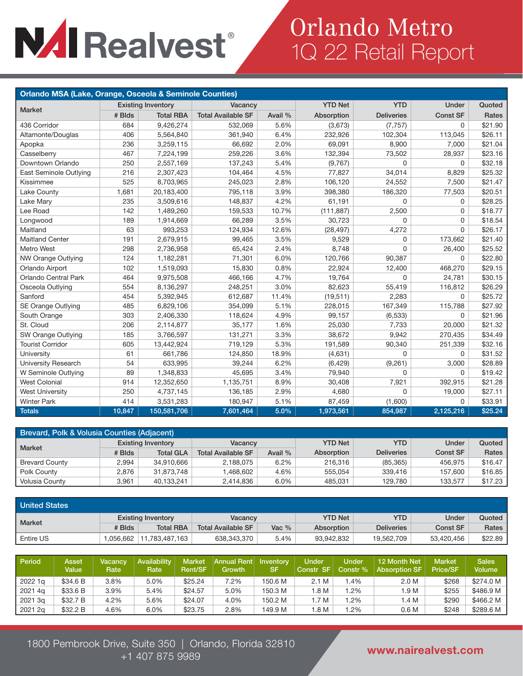# **NAI Realvest®**

### Orlando Metro 1Q 22 Retail Report

| Orlando MSA (Lake, Orange, Osceola & Seminole Counties) |        |                           |                           |         |                |                   |                 |         |  |  |  |  |
|---------------------------------------------------------|--------|---------------------------|---------------------------|---------|----------------|-------------------|-----------------|---------|--|--|--|--|
|                                                         |        | <b>Existing Inventory</b> | Vacancy                   |         | <b>YTD Net</b> | <b>YTD</b>        | Under           | Quoted  |  |  |  |  |
| Market                                                  | # Blds | <b>Total RBA</b>          | <b>Total Available SF</b> | Avail % | Absorption     | <b>Deliveries</b> | <b>Const SF</b> | Rates   |  |  |  |  |
| 436 Corridor                                            | 684    | 9,426,274                 | 532,069                   | 5.6%    | (3,673)        | (7, 757)          | 0               | \$21.90 |  |  |  |  |
| Altamonte/Douglas                                       | 406    | 5,564,840                 | 361,940                   | 6.4%    | 232,926        | 102,304           | 113,045         | \$26.11 |  |  |  |  |
| Apopka                                                  | 236    | 3,259,115                 | 66,692                    | 2.0%    | 69,091         | 8,900             | 7,000           | \$21.04 |  |  |  |  |
| Casselberry                                             | 467    | 7,224,199                 | 259,226                   | 3.6%    | 132.394        | 73,502            | 28,937          | \$23.16 |  |  |  |  |
| Downtown Orlando                                        | 250    | 2,557,169                 | 137,243                   | 5.4%    | (9,767)        | 0                 | 0               | \$32.18 |  |  |  |  |
| East Seminole Outlying                                  | 216    | 2,307,423                 | 104,464                   | 4.5%    | 77,827         | 34,014            | 8,829           | \$25.32 |  |  |  |  |
| Kissimmee                                               | 525    | 8,703,965                 | 245,023                   | 2.8%    | 106,120        | 24,552            | 7,500           | \$21.47 |  |  |  |  |
| Lake County                                             | 1,681  | 20,183,400                | 795,118                   | 3.9%    | 398,380        | 186,320           | 77,503          | \$20.51 |  |  |  |  |
| Lake Mary                                               | 235    | 3,509,616                 | 148,837                   | 4.2%    | 61,191         | 0                 | 0               | \$28.25 |  |  |  |  |
| Lee Road                                                | 142    | 1,489,260                 | 159,533                   | 10.7%   | (111, 887)     | 2,500             | 0               | \$18.77 |  |  |  |  |
| Longwood                                                | 189    | 1,914,669                 | 66,289                    | 3.5%    | 30,723         | $\Omega$          | 0               | \$18.54 |  |  |  |  |
| Maitland                                                | 63     | 993,253                   | 124,934                   | 12.6%   | (28, 497)      | 4,272             | 0               | \$26.17 |  |  |  |  |
| Maitland Center                                         | 191    | 2,679,915                 | 99,465                    | 3.5%    | 9,529          | 0                 | 173,662         | \$21.40 |  |  |  |  |
| <b>Metro West</b>                                       | 298    | 2,736,958                 | 65,424                    | 2.4%    | 8,748          | 0                 | 26,400          | \$25.52 |  |  |  |  |
| NW Orange Outlying                                      | 124    | 1,182,281                 | 71,301                    | 6.0%    | 120,766        | 90,387            | 0               | \$22.80 |  |  |  |  |
| Orlando Airport                                         | 102    | 1,519,093                 | 15,830                    | 0.8%    | 22,924         | 12,400            | 468,270         | \$29.15 |  |  |  |  |
| Orlando Central Park                                    | 464    | 9,975,508                 | 466,166                   | 4.7%    | 19,764         | 0                 | 24,781          | \$30.15 |  |  |  |  |
| Osceola Outlying                                        | 554    | 8,136,297                 | 248,251                   | 3.0%    | 82,623         | 55,419            | 116,812         | \$26.29 |  |  |  |  |
| Sanford                                                 | 454    | 5,392,945                 | 612,687                   | 11.4%   | (19, 511)      | 2,283             | $\Omega$        | \$25.72 |  |  |  |  |
| SE Orange Outlying                                      | 485    | 6,829,106                 | 354,099                   | 5.1%    | 228,015        | 167,349           | 115,788         | \$27.92 |  |  |  |  |
| South Orange                                            | 303    | 2,406,330                 | 118,624                   | 4.9%    | 99,157         | (6,533)           | $\mathbf 0$     | \$21.96 |  |  |  |  |
| St. Cloud                                               | 206    | 2,114,877                 | 35,177                    | 1.6%    | 25,030         | 7,733             | 20,000          | \$21.32 |  |  |  |  |
| SW Orange Outlying                                      | 185    | 3,766,597                 | 131,271                   | 3.3%    | 38,672         | 9,942             | 270,435         | \$34.49 |  |  |  |  |
| <b>Tourist Corridor</b>                                 | 605    | 13,442,924                | 719,129                   | 5.3%    | 191,589        | 90,340            | 251,339         | \$32.16 |  |  |  |  |
| University                                              | 61     | 661,786                   | 124,850                   | 18.9%   | (4,631)        | $\Omega$          | 0               | \$31.52 |  |  |  |  |
| University Research                                     | 54     | 633,995                   | 39,244                    | 6.2%    | (6, 429)       | (9,261)           | 3,000           | \$28.89 |  |  |  |  |
| W Seminole Outlying                                     | 89     | 1,348,833                 | 45,695                    | 3.4%    | 79,940         | 0                 | 0               | \$19.42 |  |  |  |  |
| <b>West Colonial</b>                                    | 914    | 12,352,650                | 1,135,751                 | 8.9%    | 30,408         | 7,921             | 392,915         | \$21.28 |  |  |  |  |
| <b>West University</b>                                  | 250    | 4,737,145                 | 136,185                   | 2.9%    | 4,680          | 0                 | 19,000          | \$27.11 |  |  |  |  |
| <b>Winter Park</b>                                      | 414    | 3,531,283                 | 180,947                   | 5.1%    | 87,459         | (1,600)           | 0               | \$33.91 |  |  |  |  |
| <b>Totals</b>                                           | 10,847 | 150,581,706               | 7,601,464                 | 5.0%    | 1,973,561      | 854,987           | 2,125,216       | \$25.24 |  |  |  |  |

| Brevard, Polk & Volusia Counties (Adjacent) |        |                           |                           |         |                |                   |          |         |  |  |  |  |
|---------------------------------------------|--------|---------------------------|---------------------------|---------|----------------|-------------------|----------|---------|--|--|--|--|
| <b>Market</b>                               |        | <b>Existing Inventory</b> | Vacancy                   |         | <b>YTD Net</b> | <b>YTD</b>        | Under    | Quoted  |  |  |  |  |
|                                             | # Blds | <b>Total GLA</b>          | <b>Total Available SF</b> | Avail % | Absorption     | <b>Deliveries</b> | Const SF | Rates   |  |  |  |  |
| <b>Brevard County</b>                       | 2.994  | 34,910,666                | 2.188.075                 | 6.2%    | 216,316        | (85, 365)         | 456.975  | \$16.47 |  |  |  |  |
| Polk County                                 | 2.876  | 31,873,748                | 1,468,602                 | 4.6%    | 555.054        | 339.416           | 157.600  | \$16.85 |  |  |  |  |
| <b>Volusia County</b>                       | 3.961  | 40.133.241                | 2.414.836                 | 6.0%    | 485.031        | 129.780           | 133.577  | \$17.23 |  |  |  |  |

| <b>United States</b> |                           |                  |                           |         |                |                   |                 |         |
|----------------------|---------------------------|------------------|---------------------------|---------|----------------|-------------------|-----------------|---------|
| <b>Market</b>        | <b>Existing Inventory</b> |                  | Vacancy                   |         | <b>YTD Net</b> | <b>YTD</b>        | Under           | Quoted  |
|                      | # Blds                    | <b>Total RBA</b> | <b>Total Available SF</b> | Vac $%$ | Absorption     | <b>Deliveries</b> | <b>Const SF</b> | Rates   |
| Entire US            | .056.662                  | 11.783.487.163   | 638,343,370               | 5.4%    | 93,942,832     | 19.562.709        | 53,420,456      | \$22.89 |

| Period  | Asset<br>Value | <b>Vacancy</b><br>Rate | <b>Availability</b><br>Rate | <b>Market</b><br><b>Rent/SF</b> | <b>Annual Rentl</b><br>Growth | Inventory<br><b>SF</b> | <b>Under</b><br>Constr SF | <b>Under</b><br>Constr % | 12 Month Net<br><b>Absorption SF</b> | <b>Market</b><br><b>Price/SF</b> | <b>Sales</b><br>Volume |
|---------|----------------|------------------------|-----------------------------|---------------------------------|-------------------------------|------------------------|---------------------------|--------------------------|--------------------------------------|----------------------------------|------------------------|
| 2022 1q | \$34.6 B       | 3.8%                   | 5.0%                        | \$25.24                         | 7.2%                          | 150.6 M                | 2.1 M                     | 1.4%                     | 2.0 M                                | \$268                            | \$274.0 M              |
| 2021 4q | \$33.6B        | 3.9%                   | 5.4%                        | \$24.57                         | 5.0%                          | 150.3 M                | .8 <sub>M</sub>           | .2%                      | 1.9 M                                | \$255                            | \$486.9 M              |
| 2021 3q | \$32.7 B       | 4.2%                   | 5.6%                        | \$24.07                         | 4.0%                          | 150.2 M                | .7 M                      | .2%                      | 1.4 M                                | \$290                            | \$466.2 M              |
| 2021 2g | \$32.2 B       | 4.6%                   | 6.0%                        | \$23.75                         | 2.8%                          | 149.9 M                | 1.8 M                     | $.2\%$                   | 0.6 <sub>M</sub>                     | \$248                            | \$289.6 M              |